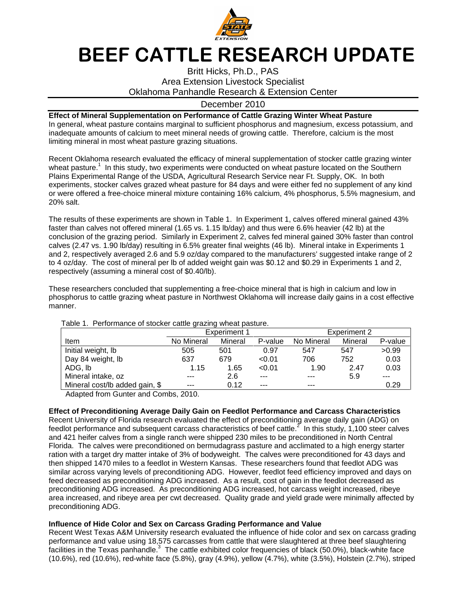

# BEEF CATTLE RESEARCH UPDATE

## Britt Hicks, Ph.D., PAS Area Extension Livestock Specialist Oklahoma Panhandle Research & Extension Center

### December 2010

#### **Effect of Mineral Supplementation on Performance of Cattle Grazing Winter Wheat Pasture**

In general, wheat pasture contains marginal to sufficient phosphorus and magnesium, excess potassium, and inadequate amounts of calcium to meet mineral needs of growing cattle. Therefore, calcium is the most limiting mineral in most wheat pasture grazing situations.

Recent Oklahoma research evaluated the efficacy of mineral supplementation of stocker cattle grazing winter wheat pasture.<sup>1</sup> In this study, two experiments were conducted on wheat pasture located on the Southern Plains Experimental Range of the USDA, Agricultural Research Service near Ft. Supply, OK. In both experiments, stocker calves grazed wheat pasture for 84 days and were either fed no supplement of any kind or were offered a free-choice mineral mixture containing 16% calcium, 4% phosphorus, 5.5% magnesium, and 20% salt.

The results of these experiments are shown in Table 1. In Experiment 1, calves offered mineral gained 43% faster than calves not offered mineral (1.65 vs. 1.15 lb/day) and thus were 6.6% heavier (42 lb) at the conclusion of the grazing period. Similarly in Experiment 2, calves fed mineral gained 30% faster than control calves (2.47 vs. 1.90 lb/day) resulting in 6.5% greater final weights (46 lb). Mineral intake in Experiments 1 and 2, respectively averaged 2.6 and 5.9 oz/day compared to the manufacturers' suggested intake range of 2 to 4 oz/day. The cost of mineral per lb of added weight gain was \$0.12 and \$0.29 in Experiments 1 and 2, respectively (assuming a mineral cost of \$0.40/lb).

These researchers concluded that supplementing a free-choice mineral that is high in calcium and low in phosphorus to cattle grazing wheat pasture in Northwest Oklahoma will increase daily gains in a cost effective manner.

|                                | Experiment 1 |         |         | Experiment 2 |         |         |
|--------------------------------|--------------|---------|---------|--------------|---------|---------|
| Item                           | No Mineral   | Mineral | P-value | No Mineral   | Mineral | P-value |
| Initial weight, lb             | 505          | 501     | 0.97    | 547          | 547     | >0.99   |
| Day 84 weight, lb              | 637          | 679     | < 0.01  | 706          | 752     | 0.03    |
| ADG, Ib                        | 1.15         | 1.65    | < 0.01  | 1.90         | 2.47    | 0.03    |
| Mineral intake, oz             | $- - -$      | 2.6     | $---$   | $---$        | 5.9     |         |
| Mineral cost/lb added gain, \$ | $- - -$      | 0.12    | $---$   | ---          |         | 0.29    |

Table 1. Performance of stocker cattle grazing wheat pasture.

Adapted from Gunter and Combs, 2010.

#### **Effect of Preconditioning Average Daily Gain on Feedlot Performance and Carcass Characteristics**

Recent University of Florida research evaluated the effect of preconditioning average daily gain (ADG) on feedlot performance and subsequent carcass characteristics of beef cattle.<sup>2</sup> In this study, 1,100 steer calves and 421 heifer calves from a single ranch were shipped 230 miles to be preconditioned in North Central Florida. The calves were preconditioned on bermudagrass pasture and acclimated to a high energy starter ration with a target dry matter intake of 3% of bodyweight. The calves were preconditioned for 43 days and then shipped 1470 miles to a feedlot in Western Kansas. These researchers found that feedlot ADG was similar across varying levels of preconditioning ADG. However, feedlot feed efficiency improved and days on feed decreased as preconditioning ADG increased. As a result, cost of gain in the feedlot decreased as preconditioning ADG increased. As preconditioning ADG increased, hot carcass weight increased, ribeye area increased, and ribeye area per cwt decreased. Quality grade and yield grade were minimally affected by preconditioning ADG.

#### **Influence of Hide Color and Sex on Carcass Grading Performance and Value**

Recent West Texas A&M University research evaluated the influence of hide color and sex on carcass grading performance and value using 18,575 carcasses from cattle that were slaughtered at three beef slaughtering facilities in the Texas panhandle.<sup>3</sup> The cattle exhibited color frequencies of black (50.0%), black-white face (10.6%), red (10.6%), red-white face (5.8%), gray (4.9%), yellow (4.7%), white (3.5%), Holstein (2.7%), striped